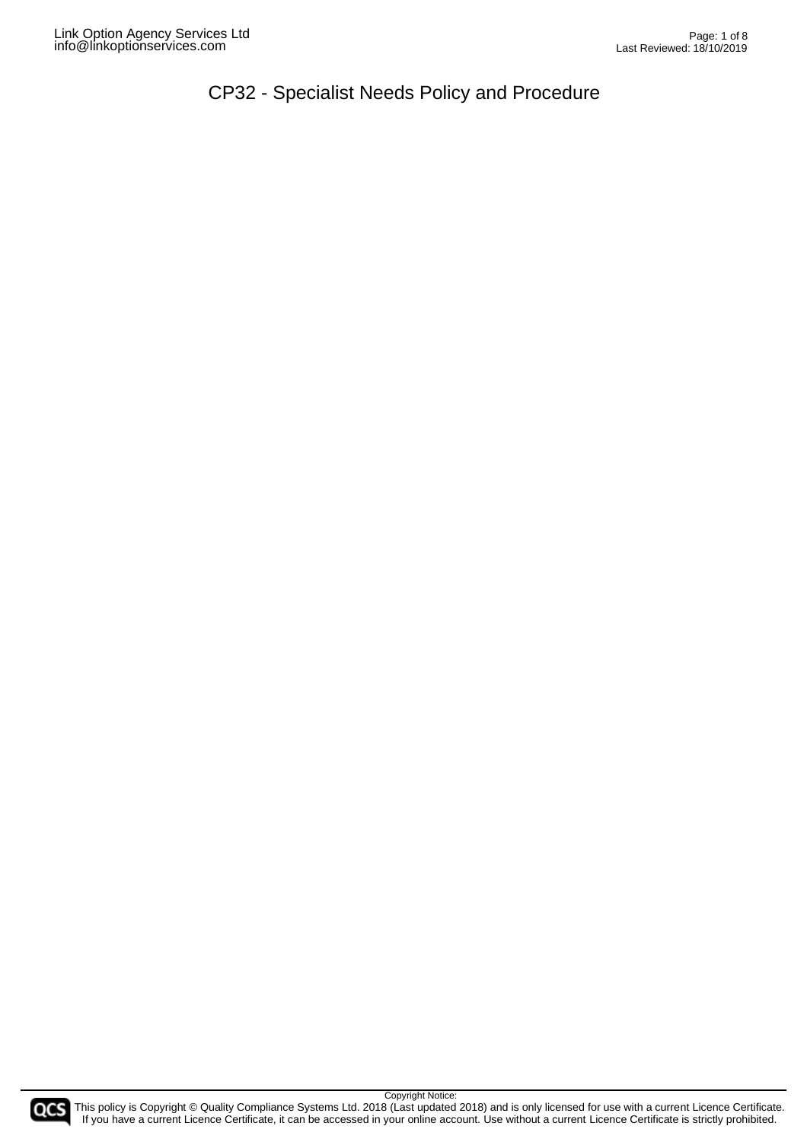Copyright Notice: This policy is Copyright © Quality Compliance Systems Ltd. 2018 (Last updated 2018) and is only licensed for use with a current Licence Certificate. If you have a current Licence Certificate, it can be accessed in your online account. Use without a current Licence Certificate is strictly prohibited.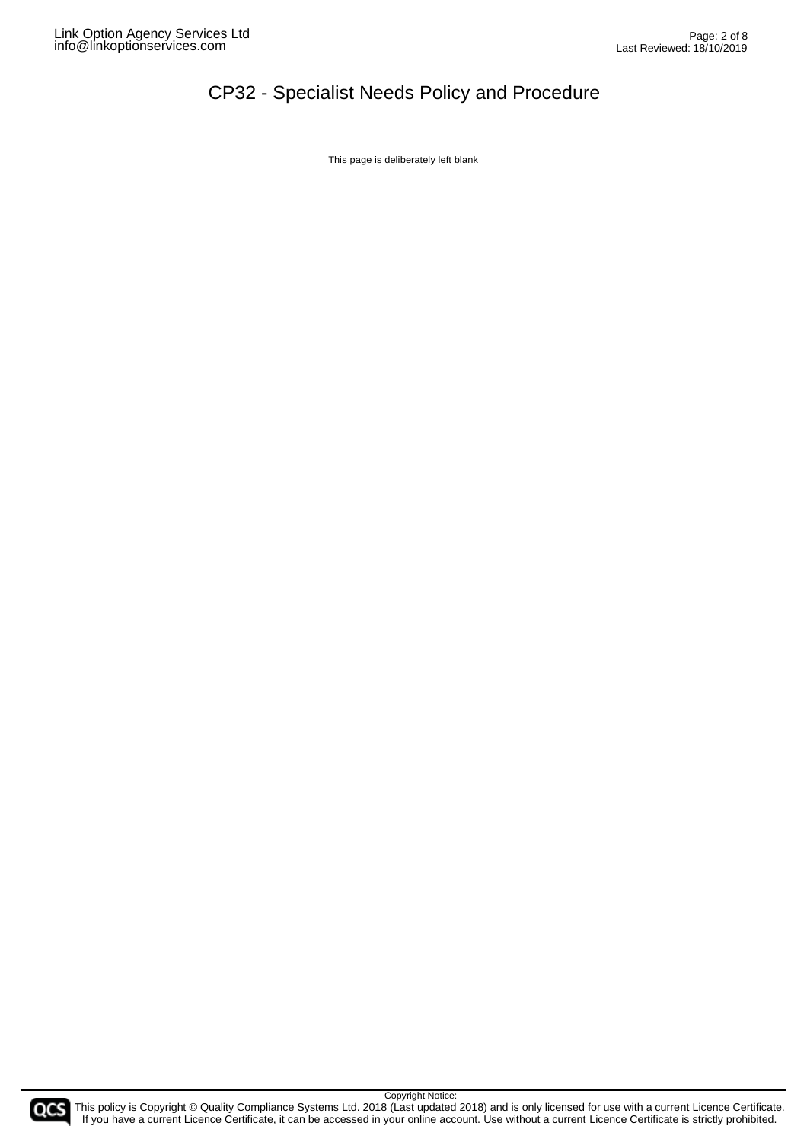This page is deliberately left blank



Copyright Notice: This policy is Copyright © Quality Compliance Systems Ltd. 2018 (Last updated 2018) and is only licensed for use with a current Licence Certificate. If you have a current Licence Certificate, it can be accessed in your online account. Use without a current Licence Certificate is strictly prohibited.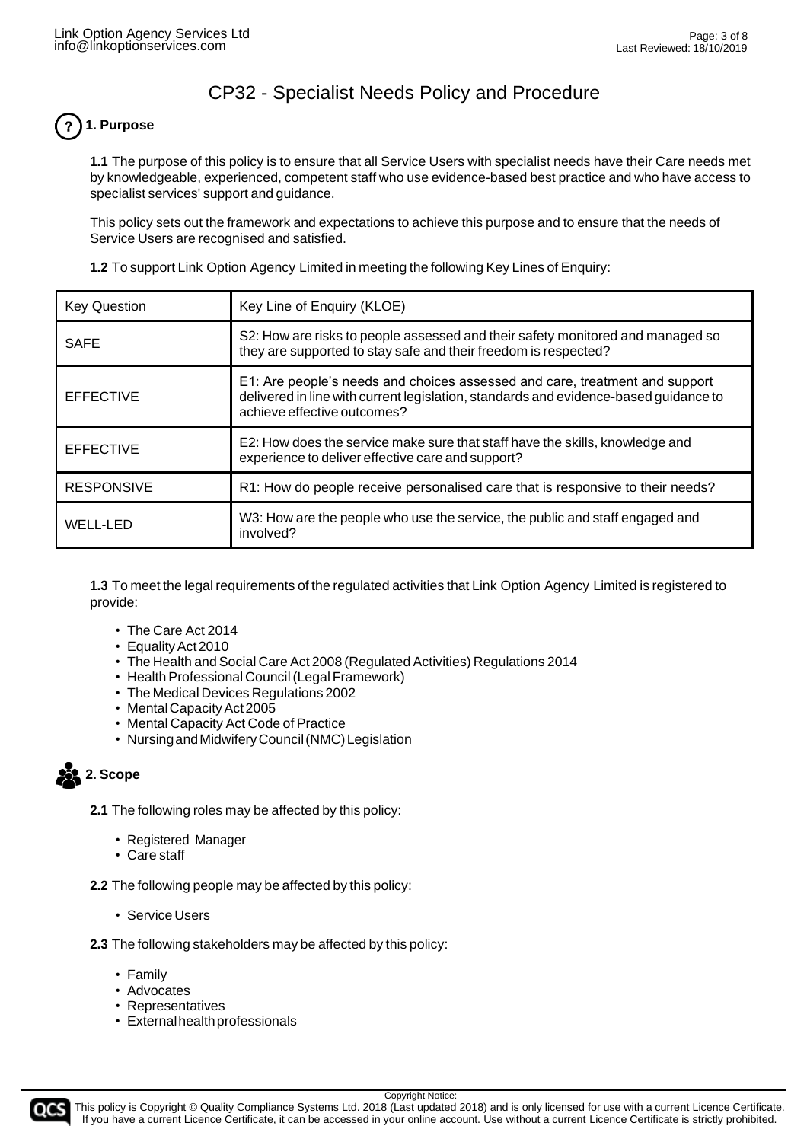# **1. Purpose**

**1.1** The purpose of this policy is to ensure that all Service Users with specialist needs have their Care needs met by knowledgeable, experienced, competent staff who use evidence-based best practice and who have access to specialist services' support and guidance.

This policy sets out the framework and expectations to achieve this purpose and to ensure that the needs of Service Users are recognised and satisfied.

| <b>Key Question</b> | Key Line of Enquiry (KLOE)                                                                                                                                                                         |
|---------------------|----------------------------------------------------------------------------------------------------------------------------------------------------------------------------------------------------|
| <b>SAFE</b>         | S2: How are risks to people assessed and their safety monitored and managed so<br>they are supported to stay safe and their freedom is respected?                                                  |
| <b>EFFECTIVE</b>    | E1: Are people's needs and choices assessed and care, treatment and support<br>delivered in line with current legislation, standards and evidence-based guidance to<br>achieve effective outcomes? |
| <b>EFFECTIVE</b>    | E2: How does the service make sure that staff have the skills, knowledge and<br>experience to deliver effective care and support?                                                                  |
| <b>RESPONSIVE</b>   | R1: How do people receive personalised care that is responsive to their needs?                                                                                                                     |
| WELL-LED            | W3: How are the people who use the service, the public and staff engaged and<br>involved?                                                                                                          |

**1.2** To support Link Option Agency Limited in meeting the following Key Lines of Enquiry:

**1.3** To meet the legal requirements of the regulated activities that Link Option Agency Limited is registered to provide:

- The Care Act 2014
- EqualityAct2010
- The Health and Social Care Act 2008 (Regulated Activities) Regulations 2014
- Health Professional Council (Legal Framework)
- The Medical Devices Regulations 2002
- Mental Capacity Act 2005
- Mental Capacity Act Code of Practice
- NursingandMidwiferyCouncil(NMC)Legislation

## **2. Scope**

**2.1** The following roles may be affected by this policy:

- Registered Manager
- Care staff
- **2.2** The following people may be affected by this policy:
	- Service Users
- **2.3** The following stakeholders may be affected by this policy:
	- Family
	- Advocates
	- Representatives
	- External health professionals



Copyright Notice: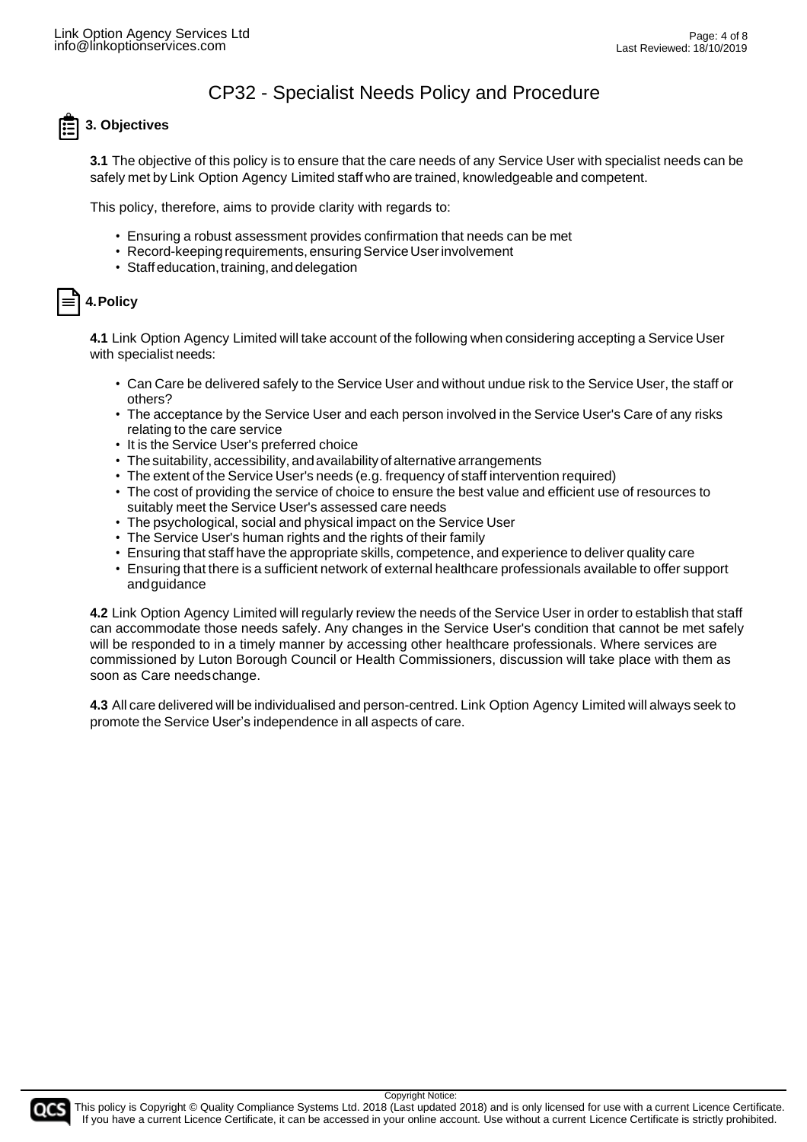# **3. Objectives**

**3.1** The objective of this policy is to ensure that the care needs of any Service User with specialist needs can be safely met by Link Option Agency Limited staff who are trained, knowledgeable and competent.

This policy, therefore, aims to provide clarity with regards to:

- Ensuring a robust assessment provides confirmation that needs can be met
- Record-keeping requirements, ensuring Service User involvement
- Staffeducation, training, and delegation

## **4.Policy**

**4.1** Link Option Agency Limited will take account of the following when considering accepting a Service User with specialist needs:

- Can Care be delivered safely to the Service User and without undue risk to the Service User, the staff or others?
- The acceptance by the Service User and each person involved in the Service User's Care of any risks relating to the care service
- It is the Service User's preferred choice
- The suitability, accessibility, and availability of alternative arrangements
- The extent of the Service User's needs (e.g. frequency of staff intervention required)
- The cost of providing the service of choice to ensure the best value and efficient use of resources to suitably meet the Service User's assessed care needs
- The psychological, social and physical impact on the Service User
- The Service User's human rights and the rights of their family
- Ensuring that staff have the appropriate skills, competence, and experience to deliver quality care
- Ensuring that there is a sufficient network of external healthcare professionals available to offer support andguidance

**4.2** Link Option Agency Limited will regularly review the needs of the Service User in order to establish that staff can accommodate those needs safely. Any changes in the Service User's condition that cannot be met safely will be responded to in a timely manner by accessing other healthcare professionals. Where services are commissioned by Luton Borough Council or Health Commissioners, discussion will take place with them as soon as Care needschange.

**4.3** All care delivered will be individualised and person-centred. Link Option Agency Limited will always seek to promote the Service User's independence in all aspects of care.

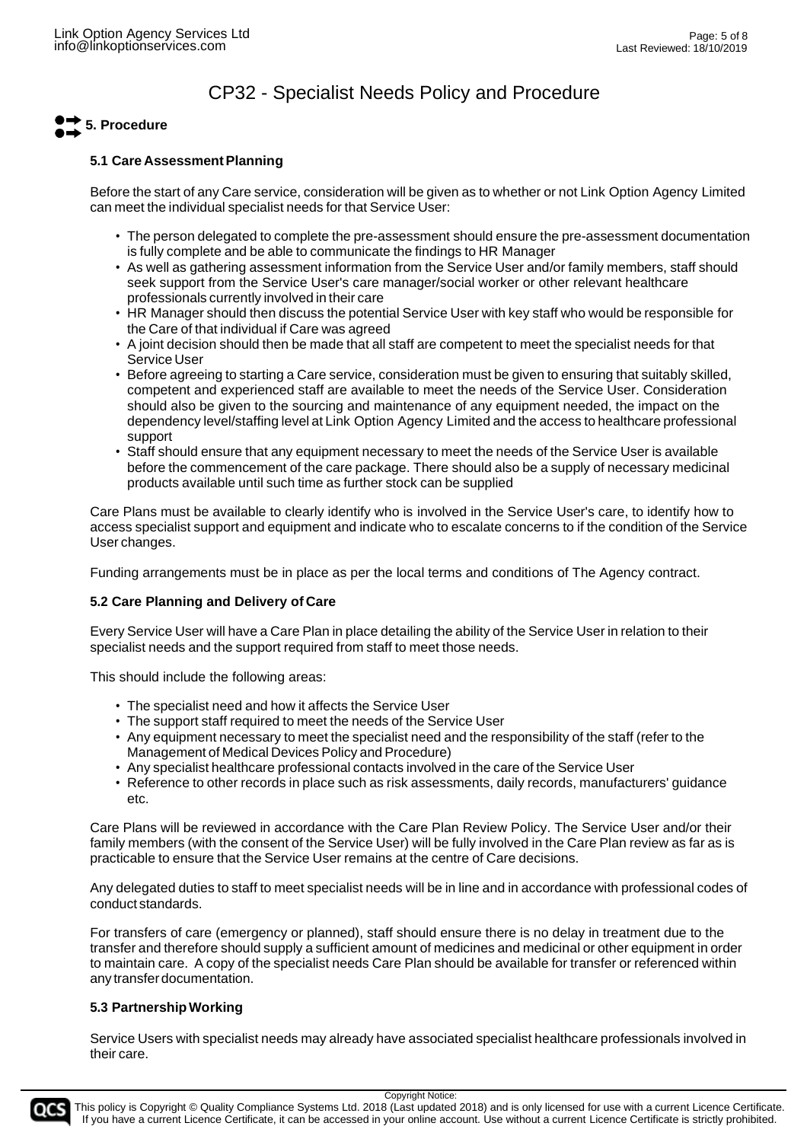# **5. Procedure**

#### **5.1 Care Assessment Planning**

Before the start of any Care service, consideration will be given as to whether or not Link Option Agency Limited can meet the individual specialist needs for that Service User:

- The person delegated to complete the pre-assessment should ensure the pre-assessment documentation is fully complete and be able to communicate the findings to HR Manager
- As well as gathering assessment information from the Service User and/or family members, staff should seek support from the Service User's care manager/social worker or other relevant healthcare professionals currently involved in their care
- HR Manager should then discuss the potential Service User with key staff who would be responsible for the Care of that individual if Care was agreed
- A joint decision should then be made that all staff are competent to meet the specialist needs for that Service User
- Before agreeing to starting a Care service, consideration must be given to ensuring that suitably skilled, competent and experienced staff are available to meet the needs of the Service User. Consideration should also be given to the sourcing and maintenance of any equipment needed, the impact on the dependency level/staffing level at Link Option Agency Limited and the access to healthcare professional support
- Staff should ensure that any equipment necessary to meet the needs of the Service User is available before the commencement of the care package. There should also be a supply of necessary medicinal products available until such time as further stock can be supplied

Care Plans must be available to clearly identify who is involved in the Service User's care, to identify how to access specialist support and equipment and indicate who to escalate concerns to if the condition of the Service User changes.

Funding arrangements must be in place as per the local terms and conditions of The Agency contract.

#### **5.2 Care Planning and Delivery of Care**

Every Service User will have a Care Plan in place detailing the ability of the Service User in relation to their specialist needs and the support required from staff to meet those needs.

This should include the following areas:

- The specialist need and how it affects the Service User
- The support staff required to meet the needs of the Service User
- Any equipment necessary to meet the specialist need and the responsibility of the staff (refer to the Management of Medical Devices Policy and Procedure)
- Any specialist healthcare professional contacts involved in the care of the Service User
- Reference to other records in place such as risk assessments, daily records, manufacturers' guidance etc.

Care Plans will be reviewed in accordance with the Care Plan Review Policy. The Service User and/or their family members (with the consent of the Service User) will be fully involved in the Care Plan review as far as is practicable to ensure that the Service User remains at the centre of Care decisions.

Any delegated duties to staff to meet specialist needs will be in line and in accordance with professional codes of conduct standards.

For transfers of care (emergency or planned), staff should ensure there is no delay in treatment due to the transfer and therefore should supply a sufficient amount of medicines and medicinal or other equipment in order to maintain care. A copy of the specialist needs Care Plan should be available for transfer or referenced within any transferdocumentation.

#### **5.3 PartnershipWorking**

Service Users with specialist needs may already have associated specialist healthcare professionals involved in their care.

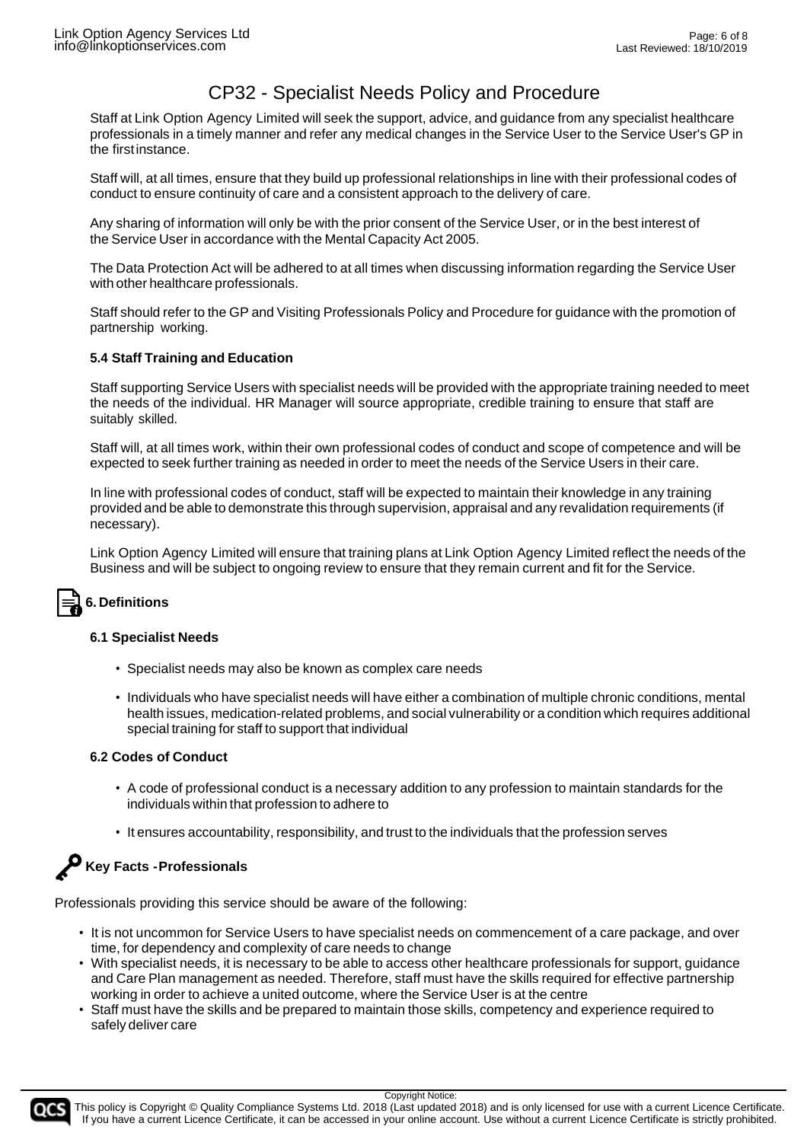Staff at Link Option Agency Limited will seek the support, advice, and guidance from any specialist healthcare professionals in a timely manner and refer any medical changes in the Service User to the Service User's GP in the firstinstance.

Staff will, at all times, ensure that they build up professional relationships in line with their professional codes of conduct to ensure continuity of care and a consistent approach to the delivery of care.

Any sharing of information will only be with the prior consent of the Service User, or in the best interest of the Service User in accordance with the Mental Capacity Act 2005.

The Data Protection Act will be adhered to at all times when discussing information regarding the Service User with other healthcare professionals.

Staff should refer to the GP and Visiting Professionals Policy and Procedure for guidance with the promotion of partnership working.

#### **5.4 Staff Training and Education**

Staff supporting Service Users with specialist needs will be provided with the appropriate training needed to meet the needs of the individual. HR Manager will source appropriate, credible training to ensure that staff are suitably skilled.

Staff will, at all times work, within their own professional codes of conduct and scope of competence and will be expected to seek further training as needed in order to meet the needs of the Service Users in their care.

In line with professional codes of conduct, staff will be expected to maintain their knowledge in any training provided and be able to demonstrate this through supervision, appraisal and any revalidation requirements (if necessary).

Link Option Agency Limited will ensure that training plans at Link Option Agency Limited reflect the needs of the Business and will be subject to ongoing review to ensure that they remain current and fit for the Service.

## **6. Definitions**

#### **6.1 Specialist Needs**

- Specialist needs may also be known as complex care needs
- Individuals who have specialist needs will have either a combination of multiple chronic conditions, mental health issues, medication-related problems, and social vulnerability or a condition which requires additional special training for staff to support that individual

#### **6.2 Codes of Conduct**

- A code of professional conduct is a necessary addition to any profession to maintain standards for the individuals within that profession to adhere to
- It ensures accountability, responsibility, and trust to the individuals that the profession serves

## **Key Facts -Professionals**

Professionals providing this service should be aware of the following:

- It is not uncommon for Service Users to have specialist needs on commencement of a care package, and over time, for dependency and complexity of care needs to change
- With specialist needs, it is necessary to be able to access other healthcare professionals for support, guidance and Care Plan management as needed. Therefore, staff must have the skills required for effective partnership working in order to achieve a united outcome, where the Service User is at the centre
- Staff must have the skills and be prepared to maintain those skills, competency and experience required to safely deliver care

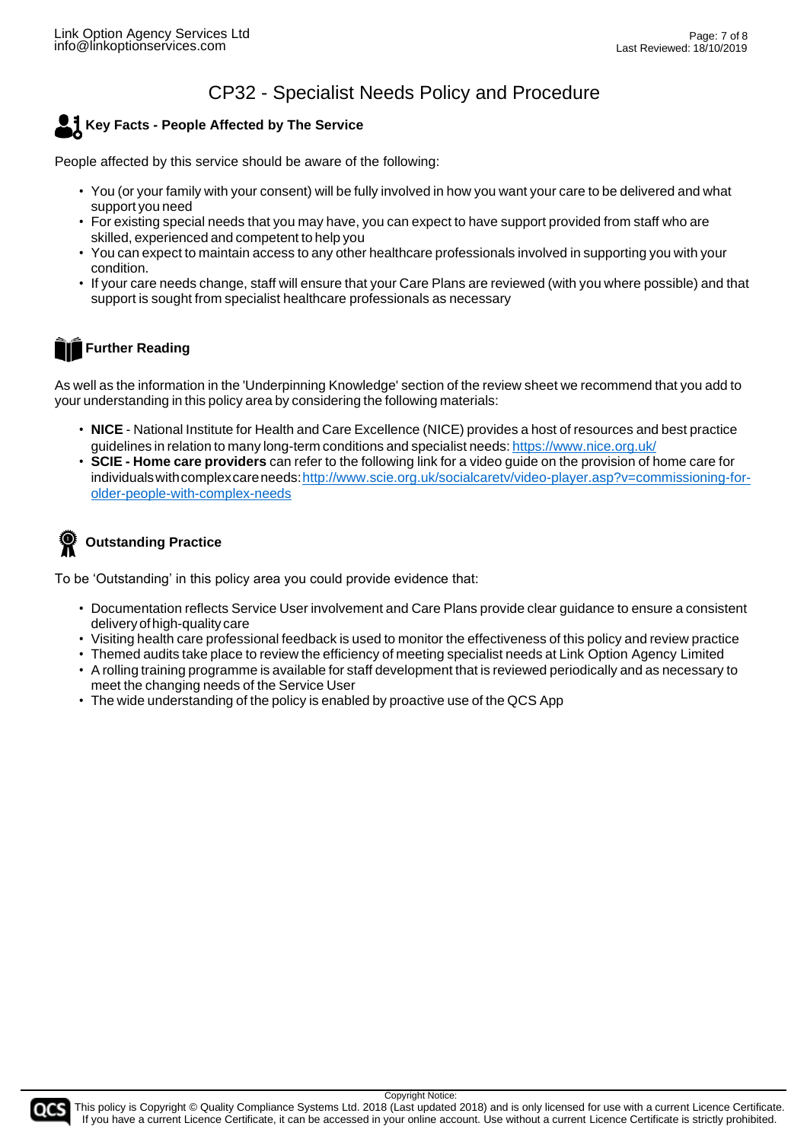# **Key Facts - People Affected by The Service**

People affected by this service should be aware of the following:

- You (or your family with your consent) will be fully involved in how you want your care to be delivered and what support you need
- For existing special needs that you may have, you can expect to have support provided from staff who are skilled, experienced and competent to help you
- You can expect to maintain access to any other healthcare professionals involved in supporting you with your condition.
- If your care needs change, staff will ensure that your Care Plans are reviewed (with you where possible) and that support is sought from specialist healthcare professionals as necessary

## **Further Reading**

As well as the information in the 'Underpinning Knowledge' section of the review sheet we recommend that you add to your understanding in this policy area by considering the following materials:

- **NICE** National Institute for Health and Care Excellence (NICE) provides a host of resources and best practice guidelines in relation to many long-term conditions and specialist needs: <https://www.nice.org.uk/>
- **SCIE - Home care providers** can refer to the following link for a video guide on the provision of home care for individuals with complex care needs: http://www.scie.org.uk/socialcaretv/video-player.asp?v=commissioning-for[older-people-with-complex-needs](http://www.scie.org.uk/socialcaretv/video-player.asp?v=commissioning-for-older-people-with-complex-needs)

# **Outstanding Practice**

To be 'Outstanding' in this policy area you could provide evidence that:

- Documentation reflects Service User involvement and Care Plans provide clear guidance to ensure a consistent deliveryofhigh-quality care
- Visiting health care professional feedback is used to monitor the effectiveness of this policy and review practice
- Themed audits take place to review the efficiency of meeting specialist needs at Link Option Agency Limited
- A rolling training programme is available for staff development that is reviewed periodically and as necessary to meet the changing needs of the Service User
- The wide understanding of the policy is enabled by proactive use of the QCS App